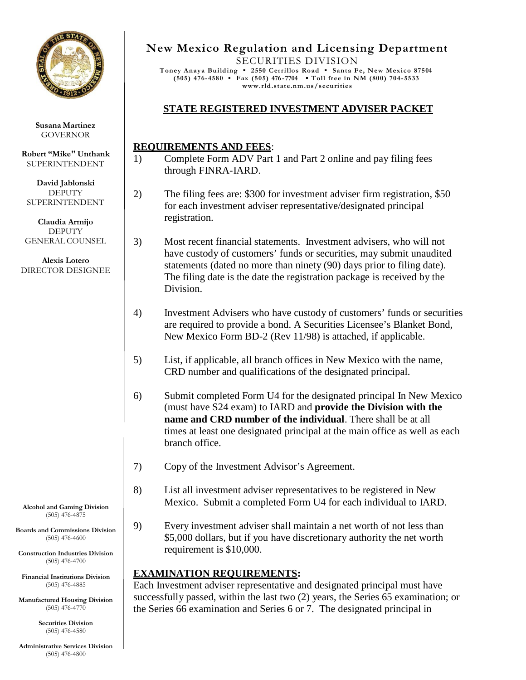

**Susana Martinez** GOVERNOR

**Robert "Mike" Unthank** SUPERINTENDENT

**David Jablonski DEPUTY** SUPERINTENDENT

**Claudia Armijo** DEPUTY GENERAL COUNSEL

**Alexis Lotero** DIRECTOR DESIGNEE

**Alcohol and Gaming Division** (505) 476-4875

**Boards and Commissions Division** (505) 476-4600

**Construction Industries Division** (505) 476-4700

**Financial Institutions Division** (505) 476-4885

**Manufactured Housing Division** (505) 476-4770

> **Securities Division** (505) 476-4580

**Administrative Services Division** (505) 476-4800

# **New Mexico Regulation and Licensing Department**

SECURITIES DIVISION **Toney Anaya Building ▪ 2550 Cerrillos Road ▪ Santa Fe, New Mexico 87504 (505) 476-4580 ▪ Fax (505) 476 -7704 ▪ Toll free in NM (800) 704-5533 www.rld.s [tate.nm.us/securities](http://www.rld.state.nm.us/securities)**

# **STATE REGISTERED INVESTMENT ADVISER PACKET**

#### **REQUIREMENTS AND FEES**:

- 1) Complete Form ADV Part 1 and Part 2 online and pay filing fees through FINRA-IARD.
- 2) The filing fees are: \$300 for investment adviser firm registration, \$50 for each investment adviser representative/designated principal registration.
- 3) Most recent financial statements. Investment advisers, who will not have custody of customers' funds or securities, may submit unaudited statements (dated no more than ninety (90) days prior to filing date). The filing date is the date the registration package is received by the Division.
- 4) Investment Advisers who have custody of customers' funds or securities are required to provide a bond. A Securities Licensee's Blanket Bond, New Mexico Form BD-2 (Rev 11/98) is attached, if applicable.
- 5) List, if applicable, all branch offices in New Mexico with the name, CRD number and qualifications of the designated principal.
- 6) Submit completed Form U4 for the designated principal In New Mexico (must have S24 exam) to IARD and **provide the Division with the name and CRD number of the individual**. There shall be at all times at least one designated principal at the main office as well as each branch office.
- 7) Copy of the Investment Advisor's Agreement.
- 8) List all investment adviser representatives to be registered in New Mexico. Submit a completed Form U4 for each individual to IARD.
- 9) Every investment adviser shall maintain a net worth of not less than \$5,000 dollars, but if you have discretionary authority the net worth requirement is \$10,000.

#### **EXAMINATION REQUIREMENTS:**

Each Investment adviser representative and designated principal must have successfully passed, within the last two (2) years, the Series 65 examination; or the Series 66 examination and Series 6 or 7. The designated principal in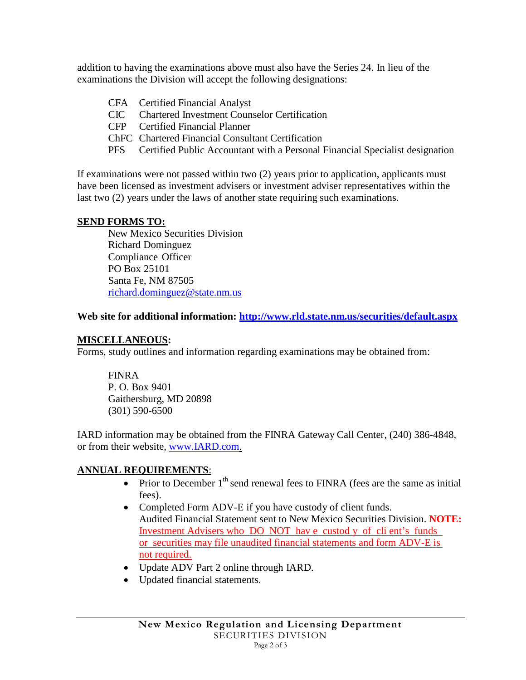addition to having the examinations above must also have the Series 24. In lieu of the examinations the Division will accept the following designations:

- CFA Certified Financial Analyst
- CIC Chartered Investment Counselor Certification
- CFP Certified Financial Planner
- ChFC Chartered Financial Consultant Certification
- PFS Certified Public Accountant with a Personal Financial Specialist designation

If examinations were not passed within two (2) years prior to application, applicants must have been licensed as investment advisers or investment adviser representatives within the last two (2) years under the laws of another state requiring such examinations.

## **SEND FORMS TO:**

New Mexico Securities Division Richard Dominguez Compliance Officer PO Box 25101 Santa Fe, NM 87505 [richard.dominguez@state.nm.us](mailto:richard.dominguez@state.nm.us)

**Web site for additional information: <http://www.rld.state.nm.us/securities/default.aspx>**

### **MISCELLANEOUS:**

Forms, study outlines and information regarding examinations may be obtained from:

FINRA P. O. Box 9401 Gaithersburg, MD 20898 (301) 590-6500

IARD information may be obtained from the FINRA Gateway Call Center, (240) 386-4848, or from their website, [www.IARD.com.](http://www.iard.com/)

## **ANNUAL REQUIREMENTS**:

- Prior to December  $1<sup>th</sup>$  send renewal fees to FINRA (fees are the same as initial fees).
- Completed Form ADV-E if you have custody of client funds. Audited Financial Statement sent to New Mexico Securities Division. **NOTE:** Investment Advisers who DO NOT hav e custod y of cli ent's funds or securities may file unaudited financial statements and form ADV-E is not required.
- Update ADV Part 2 online through IARD.
- Updated financial statements.